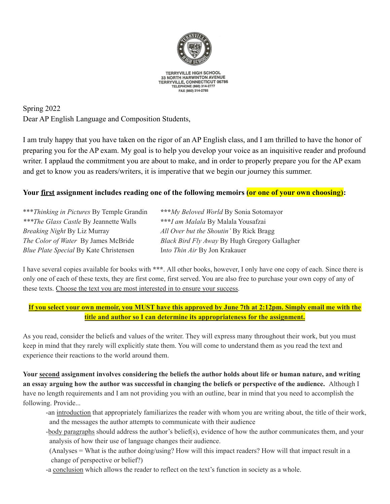

**TERRYVILLE HIGH SCHOOL** 33 NORTH HARWINTON AVENUE TERRYVILLE, CONNECTICUT 06786<br>TELEPHONE (860) 314-2777 FAX (860) 314-2785

Spring 2022 Dear AP English Language and Composition Students,

I am truly happy that you have taken on the rigor of an AP English class, and I am thrilled to have the honor of preparing you for the AP exam. My goal is to help you develop your voice as an inquisitive reader and profound writer. I applaud the commitment you are about to make, and in order to properly prepare you for the AP exam and get to know you as readers/writers, it is imperative that we begin our journey this summer.

# **Your first assignment includes reading one of the following memoirs (or one of your own choosing):**

\*\*\**Thinking in Pictures* By Temple Grandin **\*\*\****My Beloved World* By Sonia Sotomayor *\*\*\*The Glass Castle* By Jeannette Walls **\*\*\****I am Malala* By Malala Yousafzai *Breaking Night* By Liz Murray *All Over but the Shoutin'* By Rick Bragg *Blue Plate Special* By Kate Christensen I*nto Thin Air* By Jon Krakauer

*The Color of Water* By James McBride *Black Bird Fly Away* By Hugh Gregory Gallagher

I have several copies available for books with **\*\*\***. All other books, however, I only have one copy of each. Since there is only one of each of these texts, they are first come, first served. You are also free to purchase your own copy of any of these texts. Choose the text you are most interested in to ensure your success.

### If you select your own memoir, you MUST have this approved by June 7th at 2:12pm. Simply email me with the **title and author so I can determine its appropriateness for the assignment.**

As you read, consider the beliefs and values of the writer. They will express many throughout their work, but you must keep in mind that they rarely will explicitly state them. You will come to understand them as you read the text and experience their reactions to the world around them.

Your second assignment involves considering the beliefs the author holds about life or human nature, and writing an essay arguing how the author was successful in changing the beliefs or perspective of the audience. Although I have no length requirements and I am not providing you with an outline, bear in mind that you need to accomplish the following. Provide...

- -an introduction that appropriately familiarizes the reader with whom you are writing about, the title of their work, and the messages the author attempts to communicate with their audience
- -body paragraphs should address the author's belief(s), evidence of how the author communicates them, and your analysis of how their use of language changes their audience.
- (Analyses = What is the author doing/using? How will this impact readers? How will that impact result in a change of perspective or belief?)
- -a conclusion which allows the reader to reflect on the text's function in society as a whole.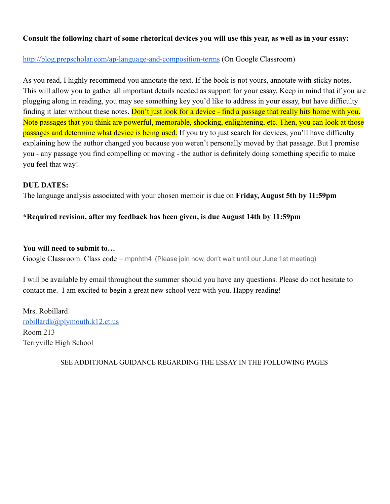# **Consult the following chart of some rhetorical devices you will use this year, as well as in your essay:**

## <http://blog.prepscholar.com/ap-language-and-composition-terms> (On Google Classroom)

As you read, I highly recommend you annotate the text. If the book is not yours, annotate with sticky notes. This will allow you to gather all important details needed as support for your essay. Keep in mind that if you are plugging along in reading, you may see something key you'd like to address in your essay, but have difficulty finding it later without these notes. Don't just look for a device - find a passage that really hits home with you. Note passages that you think are powerful, memorable, shocking, enlightening, etc. Then, you can look at those passages and determine what device is being used. If you try to just search for devices, you'll have difficulty explaining how the author changed you because you weren't personally moved by that passage. But I promise you - any passage you find compelling or moving - the author is definitely doing something specific to make you feel that way!

### **DUE DATES:**

The language analysis associated with your chosen memoir is due on **Friday, August 5th by 11:59pm**

# **\*Required revision, after my feedback has been given, is due August 14th by 11:59pm**

### **You will need to submit to…**

Google Classroom: Class code = mpnhth4 (Please join now, don't wait until our June 1st meeting)

I will be available by email throughout the summer should you have any questions. Please do not hesitate to contact me. I am excited to begin a great new school year with you. Happy reading!

Mrs. Robillard [robillardk@plymouth.k12.ct.us](mailto:robillardk@plymouth.k12.ct.us) Room 213 Terryville High School

SEE ADDITIONAL GUIDANCE REGARDING THE ESSAY IN THE FOLLOWING PAGES